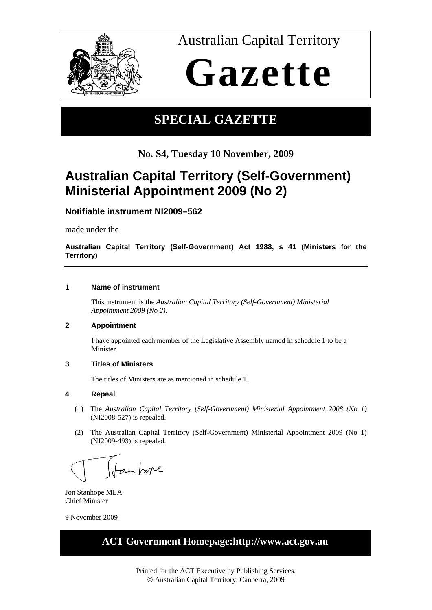

Australian Capital Territory

# **Gazette**

### **SPECIAL GAZETTE**

**No. S4, Tuesday 10 November, 2009**

## **Australian Capital Territory (Self-Government) Ministerial Appointment 2009 (No 2)**

**Notifiable instrument NI2009–562**

made under the

**Australian Capital Territory (Self-Government) Act 1988, s 41 (Ministers for the Territory)** 

#### **1 Name of instrument**

This instrument is the *Australian Capital Territory (Self-Government) Ministerial Appointment 2009 (No 2)*.

#### **2 Appointment**

I have appointed each member of the Legislative Assembly named in schedule 1 to be a Minister.

#### **3 Titles of Ministers**

The titles of Ministers are as mentioned in schedule 1.

#### **4 Repeal**

- (1) The *Australian Capital Territory (Self-Government) Ministerial Appointment 2008 (No 1)* (NI2008-527) is repealed.
- (2) The Australian Capital Territory (Self-Government) Ministerial Appointment 2009 (No 1) (NI2009-493) is repealed.

(fan bere

Jon Stanhope MLA Chief Minister

9 November 2009

### **ACT Government Homepage:http://www.act.gov.au**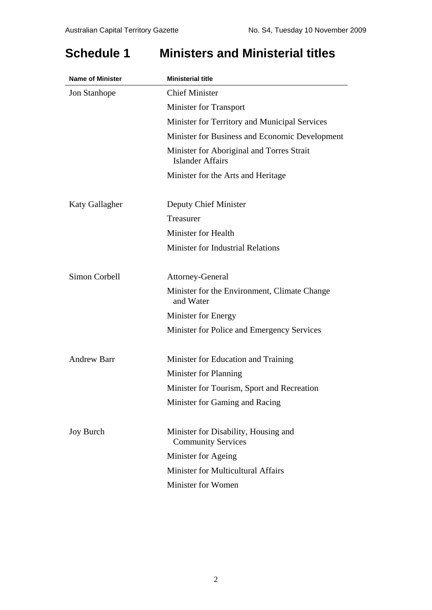### **Schedule 1 Ministers and Ministerial titles**

| <b>Name of Minister</b> | <b>Ministerial title</b>                                             |
|-------------------------|----------------------------------------------------------------------|
| Jon Stanhope            | <b>Chief Minister</b>                                                |
|                         | <b>Minister for Transport</b>                                        |
|                         | Minister for Territory and Municipal Services                        |
|                         | Minister for Business and Economic Development                       |
|                         | Minister for Aboriginal and Torres Strait<br><b>Islander Affairs</b> |
|                         | Minister for the Arts and Heritage                                   |
| Katy Gallagher          | Deputy Chief Minister                                                |
|                         | Treasurer                                                            |
|                         | Minister for Health                                                  |
|                         | <b>Minister for Industrial Relations</b>                             |
| Simon Corbell           | Attorney-General                                                     |
|                         | Minister for the Environment, Climate Change<br>and Water            |
|                         | Minister for Energy                                                  |
|                         | Minister for Police and Emergency Services                           |
| <b>Andrew Barr</b>      | Minister for Education and Training                                  |
|                         | Minister for Planning                                                |
|                         | Minister for Tourism, Sport and Recreation                           |
|                         | Minister for Gaming and Racing                                       |
| <b>Joy Burch</b>        | Minister for Disability, Housing and<br><b>Community Services</b>    |
|                         | Minister for Ageing                                                  |
|                         | <b>Minister for Multicultural Affairs</b>                            |
|                         | Minister for Women                                                   |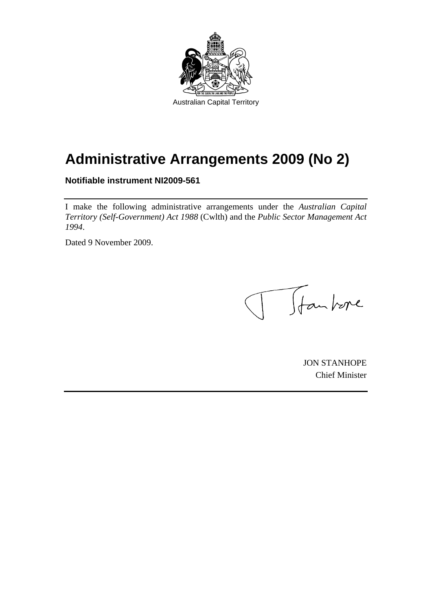

# **Administrative Arrangements 2009 (No 2)**

**Notifiable instrument NI2009-561** 

I make the following administrative arrangements under the *Australian Capital Territory (Self-Government) Act 1988* (Cwlth) and the *Public Sector Management Act 1994*.

Dated 9 November 2009.

T Jankre  $\begin{pmatrix} 1 & 1 \\ 1 & 1 \end{pmatrix}$ 

JON STANHOPE Chief Minister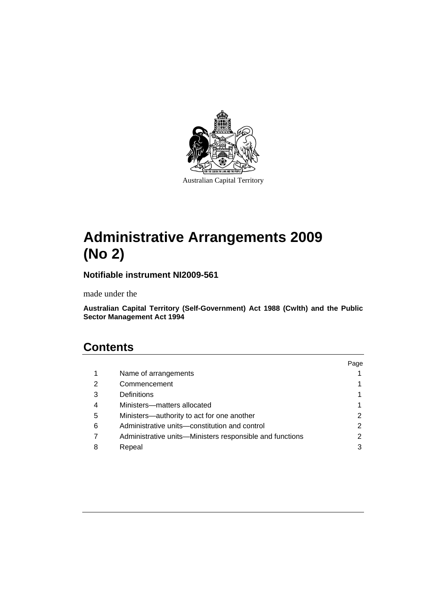

Australian Capital Territory

# **Administrative Arrangements 2009 (No 2)**

**Notifiable instrument NI2009-561** 

made under the

**Australian Capital Territory (Self-Government) Act 1988 (Cwlth) and the Public Sector Management Act 1994** 

### **Contents**

|   |                                                          | Page |
|---|----------------------------------------------------------|------|
| 1 | Name of arrangements                                     |      |
| 2 | Commencement                                             |      |
| 3 | Definitions                                              |      |
| 4 | Ministers-matters allocated                              |      |
| 5 | Ministers-authority to act for one another               | 2    |
| 6 | Administrative units-constitution and control            | 2    |
|   | Administrative units—Ministers responsible and functions | 2    |
| 8 | Repeal                                                   | 3    |
|   |                                                          |      |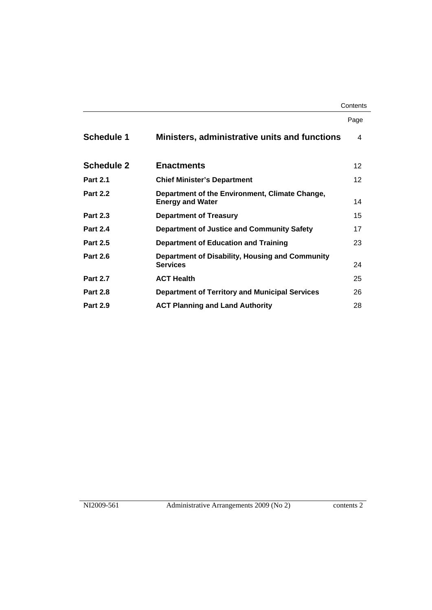#### **Contents**

|                                                                           | Page            |
|---------------------------------------------------------------------------|-----------------|
| <b>Ministers, administrative units and functions</b>                      | 4               |
| <b>Enactments</b>                                                         | 12 <sup>2</sup> |
| <b>Chief Minister's Department</b>                                        | 12              |
| Department of the Environment, Climate Change,<br><b>Energy and Water</b> | 14              |
| <b>Department of Treasury</b>                                             | 15              |
| Department of Justice and Community Safety                                | 17              |
| Department of Education and Training                                      | 23              |
| Department of Disability, Housing and Community<br><b>Services</b>        | 24              |
| <b>ACT Health</b>                                                         | 25              |
| <b>Department of Territory and Municipal Services</b>                     | 26              |
| <b>ACT Planning and Land Authority</b>                                    | 28              |
|                                                                           |                 |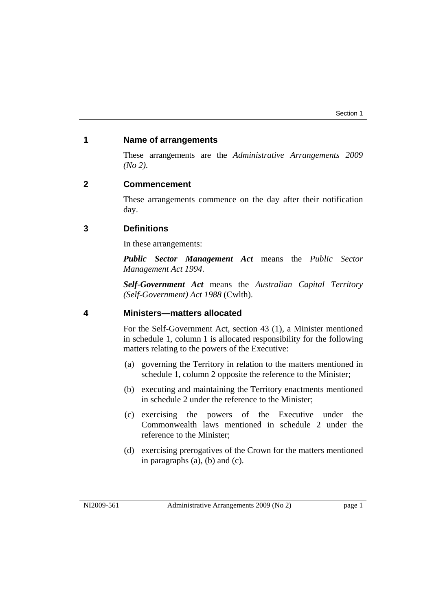#### **1 Name of arrangements**

These arrangements are the *Administrative Arrangements 2009 (No 2)*.

#### **2 Commencement**

These arrangements commence on the day after their notification day.

#### **3 Definitions**

In these arrangements:

*Public Sector Management Act* means the *Public Sector Management Act 1994*.

*Self-Government Act* means the *Australian Capital Territory (Self-Government) Act 1988* (Cwlth).

#### **4 Ministers—matters allocated**

For the Self-Government Act, section 43 (1), a Minister mentioned in schedule 1, column 1 is allocated responsibility for the following matters relating to the powers of the Executive:

- (a) governing the Territory in relation to the matters mentioned in schedule 1, column 2 opposite the reference to the Minister;
- (b) executing and maintaining the Territory enactments mentioned in schedule 2 under the reference to the Minister;
- (c) exercising the powers of the Executive under the Commonwealth laws mentioned in schedule 2 under the reference to the Minister;
- (d) exercising prerogatives of the Crown for the matters mentioned in paragraphs (a), (b) and (c).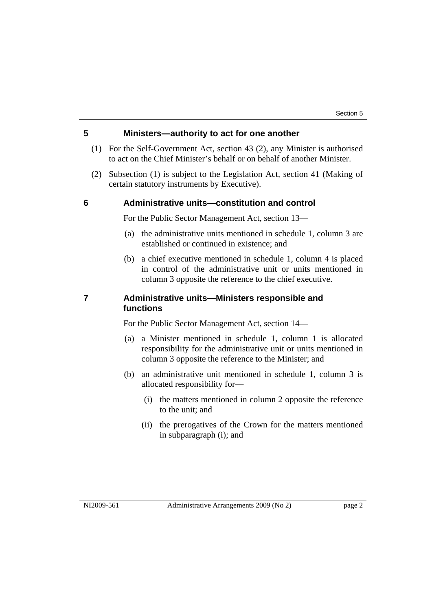### **5 Ministers—authority to act for one another**

- (1) For the Self-Government Act, section 43 (2), any Minister is authorised to act on the Chief Minister's behalf or on behalf of another Minister.
- (2) Subsection (1) is subject to the Legislation Act, section 41 (Making of certain statutory instruments by Executive).

#### **6 Administrative units—constitution and control**

For the Public Sector Management Act, section 13—

- (a) the administrative units mentioned in schedule 1, column 3 are established or continued in existence; and
- (b) a chief executive mentioned in schedule 1, column 4 is placed in control of the administrative unit or units mentioned in column 3 opposite the reference to the chief executive.

#### **7 Administrative units—Ministers responsible and functions**

For the Public Sector Management Act, section 14—

- (a) a Minister mentioned in schedule 1, column 1 is allocated responsibility for the administrative unit or units mentioned in column 3 opposite the reference to the Minister; and
- (b) an administrative unit mentioned in schedule 1, column 3 is allocated responsibility for—
	- (i) the matters mentioned in column 2 opposite the reference to the unit; and
	- (ii) the prerogatives of the Crown for the matters mentioned in subparagraph (i); and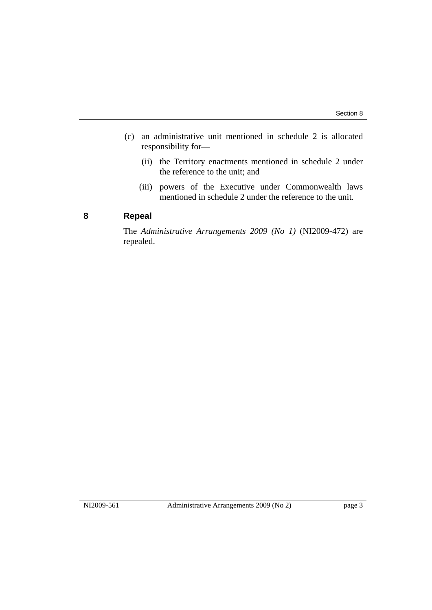- (c) an administrative unit mentioned in schedule 2 is allocated responsibility for—
	- (ii) the Territory enactments mentioned in schedule 2 under the reference to the unit; and
	- (iii) powers of the Executive under Commonwealth laws mentioned in schedule 2 under the reference to the unit.

#### **8 Repeal**

The *Administrative Arrangements 2009 (No 1)* (NI2009-472) are repealed.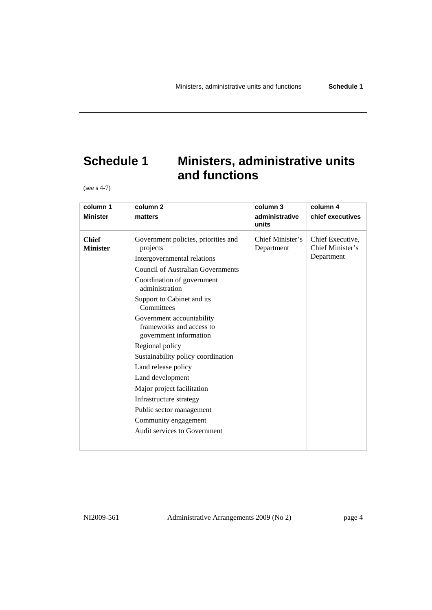### **Schedule 1 Ministers, administrative units and functions**

(see s 4-7)

| column 1                        | column <sub>2</sub>                                                             | column 3                       | column 4                                           |
|---------------------------------|---------------------------------------------------------------------------------|--------------------------------|----------------------------------------------------|
| <b>Minister</b>                 | matters                                                                         | administrative<br>units        | chief executives                                   |
| <b>Chief</b><br><b>Minister</b> | Government policies, priorities and<br>projects<br>Intergovernmental relations  | Chief Minister's<br>Department | Chief Executive,<br>Chief Minister's<br>Department |
|                                 | <b>Council of Australian Governments</b>                                        |                                |                                                    |
|                                 | Coordination of government<br>administration                                    |                                |                                                    |
|                                 | Support to Cabinet and its<br>Committees                                        |                                |                                                    |
|                                 | Government accountability<br>frameworks and access to<br>government information |                                |                                                    |
|                                 | Regional policy                                                                 |                                |                                                    |
|                                 | Sustainability policy coordination                                              |                                |                                                    |
|                                 | Land release policy                                                             |                                |                                                    |
|                                 | Land development                                                                |                                |                                                    |
|                                 | Major project facilitation                                                      |                                |                                                    |
|                                 | Infrastructure strategy                                                         |                                |                                                    |
|                                 | Public sector management                                                        |                                |                                                    |
|                                 | Community engagement                                                            |                                |                                                    |
|                                 | Audit services to Government                                                    |                                |                                                    |
|                                 |                                                                                 |                                |                                                    |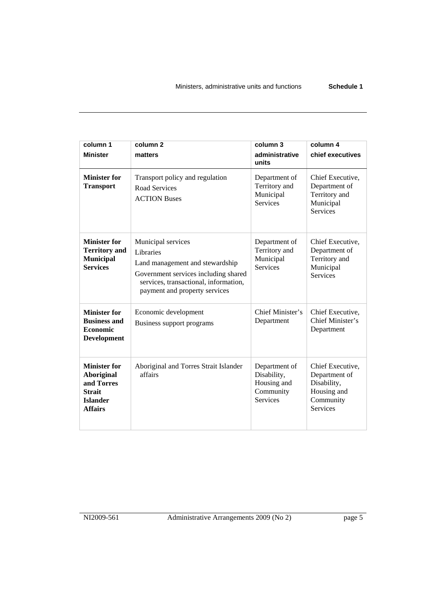| column 1<br><b>Minister</b>                                                                                  | column <sub>2</sub><br>matters                                                                                                                                                       | column 3<br>administrative<br>units                                         | column 4<br>chief executives                                                                    |
|--------------------------------------------------------------------------------------------------------------|--------------------------------------------------------------------------------------------------------------------------------------------------------------------------------------|-----------------------------------------------------------------------------|-------------------------------------------------------------------------------------------------|
| <b>Minister for</b><br><b>Transport</b>                                                                      | Transport policy and regulation<br>Road Services<br><b>ACTION Buses</b>                                                                                                              | Department of<br>Territory and<br>Municipal<br><b>Services</b>              | Chief Executive,<br>Department of<br>Territory and<br>Municipal<br><b>Services</b>              |
| <b>Minister for</b><br><b>Territory</b> and<br><b>Municipal</b><br><b>Services</b>                           | Municipal services<br>Libraries<br>Land management and stewardship<br>Government services including shared<br>services, transactional, information,<br>payment and property services | Department of<br>Territory and<br>Municipal<br><b>Services</b>              | Chief Executive,<br>Department of<br>Territory and<br>Municipal<br><b>Services</b>              |
| <b>Minister for</b><br><b>Business and</b><br><b>Economic</b><br><b>Development</b>                          | Economic development<br>Business support programs                                                                                                                                    | Chief Minister's<br>Department                                              | Chief Executive,<br>Chief Minister's<br>Department                                              |
| <b>Minister for</b><br><b>Aboriginal</b><br>and Torres<br><b>Strait</b><br><b>Islander</b><br><b>Affairs</b> | Aboriginal and Torres Strait Islander<br>affairs                                                                                                                                     | Department of<br>Disability,<br>Housing and<br>Community<br><b>Services</b> | Chief Executive,<br>Department of<br>Disability,<br>Housing and<br>Community<br><b>Services</b> |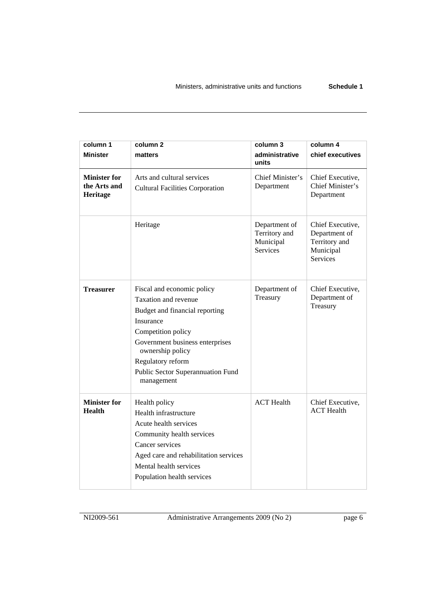| column 1<br><b>Minister</b>                     | column 2<br>matters                                                                                                                                                                                                                                    | column 3<br>administrative<br>units                            | column 4<br>chief executives                                                       |
|-------------------------------------------------|--------------------------------------------------------------------------------------------------------------------------------------------------------------------------------------------------------------------------------------------------------|----------------------------------------------------------------|------------------------------------------------------------------------------------|
| <b>Minister for</b><br>the Arts and<br>Heritage | Arts and cultural services<br><b>Cultural Facilities Corporation</b>                                                                                                                                                                                   | Chief Minister's<br>Department                                 | Chief Executive,<br>Chief Minister's<br>Department                                 |
|                                                 | Heritage                                                                                                                                                                                                                                               | Department of<br>Territory and<br>Municipal<br><b>Services</b> | Chief Executive,<br>Department of<br>Territory and<br>Municipal<br><b>Services</b> |
| <b>Treasurer</b>                                | Fiscal and economic policy<br>Taxation and revenue<br>Budget and financial reporting<br>Insurance<br>Competition policy<br>Government business enterprises<br>ownership policy<br>Regulatory reform<br>Public Sector Superannuation Fund<br>management | Department of<br>Treasury                                      | Chief Executive,<br>Department of<br>Treasury                                      |
| <b>Minister for</b><br><b>Health</b>            | Health policy<br>Health infrastructure<br>Acute health services<br>Community health services<br>Cancer services<br>Aged care and rehabilitation services<br>Mental health services<br>Population health services                                       | <b>ACT</b> Health                                              | Chief Executive,<br><b>ACT</b> Health                                              |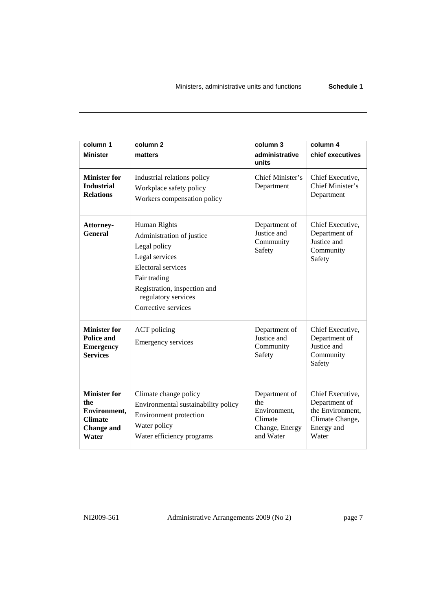| column 1<br><b>Minister</b>                                                                | column <sub>2</sub><br>matters                                                                                                                                                                         | column 3<br>administrative<br>units                                            | column 4<br>chief executives                                                                    |
|--------------------------------------------------------------------------------------------|--------------------------------------------------------------------------------------------------------------------------------------------------------------------------------------------------------|--------------------------------------------------------------------------------|-------------------------------------------------------------------------------------------------|
| <b>Minister for</b><br><b>Industrial</b><br><b>Relations</b>                               | Industrial relations policy<br>Workplace safety policy<br>Workers compensation policy                                                                                                                  | Chief Minister's<br>Department                                                 | Chief Executive,<br>Chief Minister's<br>Department                                              |
| Attorney-<br><b>General</b>                                                                | Human Rights<br>Administration of justice<br>Legal policy<br>Legal services<br><b>Electoral services</b><br>Fair trading<br>Registration, inspection and<br>regulatory services<br>Corrective services | Department of<br>Justice and<br>Community<br>Safety                            | Chief Executive,<br>Department of<br>Justice and<br>Community<br>Safety                         |
| <b>Minister for</b><br>Police and<br><b>Emergency</b><br><b>Services</b>                   | <b>ACT</b> policing<br><b>Emergency services</b>                                                                                                                                                       | Department of<br>Justice and<br>Community<br>Safety                            | Chief Executive,<br>Department of<br>Justice and<br>Community<br>Safety                         |
| <b>Minister for</b><br>the<br>Environment,<br><b>Climate</b><br><b>Change</b> and<br>Water | Climate change policy<br>Environmental sustainability policy<br><b>Environment</b> protection<br>Water policy<br>Water efficiency programs                                                             | Department of<br>the<br>Environment.<br>Climate<br>Change, Energy<br>and Water | Chief Executive,<br>Department of<br>the Environment,<br>Climate Change,<br>Energy and<br>Water |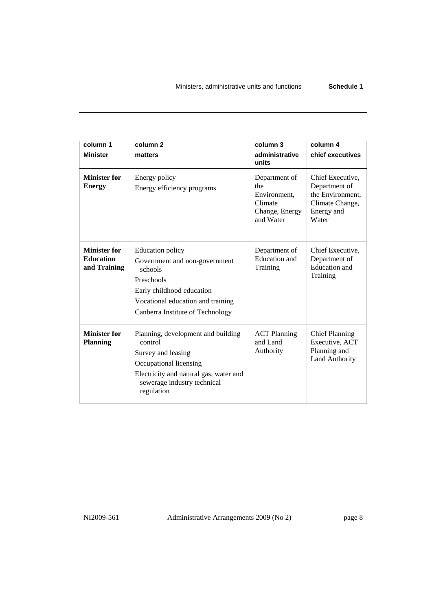| column 1                                                | column <sub>2</sub>                                                                                                                                                                     | column 3                                                                       | column 4                                                                                        |
|---------------------------------------------------------|-----------------------------------------------------------------------------------------------------------------------------------------------------------------------------------------|--------------------------------------------------------------------------------|-------------------------------------------------------------------------------------------------|
| <b>Minister</b>                                         | matters                                                                                                                                                                                 | administrative<br>units                                                        | chief executives                                                                                |
| <b>Minister for</b><br><b>Energy</b>                    | Energy policy<br>Energy efficiency programs                                                                                                                                             | Department of<br>the<br>Environment,<br>Climate<br>Change, Energy<br>and Water | Chief Executive,<br>Department of<br>the Environment,<br>Climate Change,<br>Energy and<br>Water |
| <b>Minister for</b><br><b>Education</b><br>and Training | <b>Education policy</b><br>Government and non-government<br>schools<br>Preschools<br>Early childhood education<br>Vocational education and training<br>Canberra Institute of Technology | Department of<br>Education and<br>Training                                     | Chief Executive,<br>Department of<br><b>Education</b> and<br>Training                           |
| <b>Minister for</b><br><b>Planning</b>                  | Planning, development and building<br>control<br>Survey and leasing<br>Occupational licensing<br>Electricity and natural gas, water and<br>sewerage industry technical<br>regulation    | <b>ACT Planning</b><br>and Land<br>Authority                                   | <b>Chief Planning</b><br>Executive, ACT<br>Planning and<br><b>Land Authority</b>                |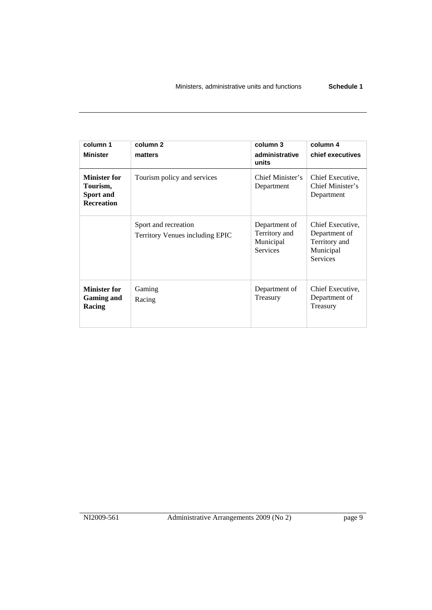| column 1<br><b>Minister</b>                                       | column <sub>2</sub><br>matters                          | column 3<br>administrative<br>units                            | column 4<br>chief executives                                                       |
|-------------------------------------------------------------------|---------------------------------------------------------|----------------------------------------------------------------|------------------------------------------------------------------------------------|
| <b>Minister for</b><br>Tourism,<br>Sport and<br><b>Recreation</b> | Tourism policy and services                             | Chief Minister's<br>Department                                 | Chief Executive,<br>Chief Minister's<br>Department                                 |
|                                                                   | Sport and recreation<br>Territory Venues including EPIC | Department of<br>Territory and<br>Municipal<br><b>Services</b> | Chief Executive,<br>Department of<br>Territory and<br>Municipal<br><b>Services</b> |
| <b>Minister for</b><br><b>Gaming and</b><br>Racing                | Gaming<br>Racing                                        | Department of<br>Treasury                                      | Chief Executive,<br>Department of<br>Treasury                                      |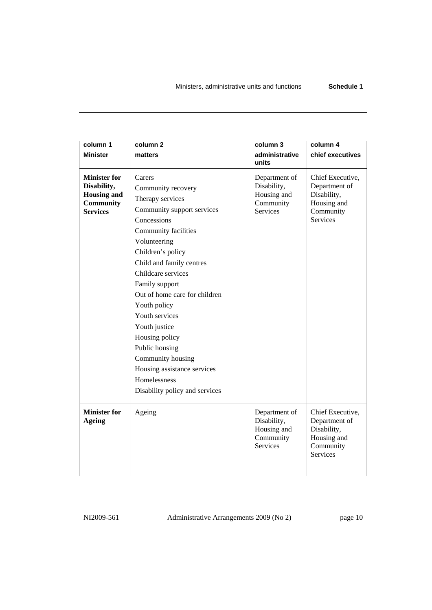| column 1                             | column <sub>2</sub>                       | column 3                                                                    | column 4                                                                                        |
|--------------------------------------|-------------------------------------------|-----------------------------------------------------------------------------|-------------------------------------------------------------------------------------------------|
| <b>Minister</b>                      | matters                                   | administrative<br>units                                                     | chief executives                                                                                |
| <b>Minister for</b>                  | Carers                                    |                                                                             |                                                                                                 |
| Disability,                          |                                           | Department of<br>Disability,                                                | Chief Executive,<br>Department of                                                               |
| <b>Housing and</b>                   | Community recovery                        | Housing and                                                                 | Disability,                                                                                     |
| Community                            | Therapy services                          | Community                                                                   | Housing and                                                                                     |
| <b>Services</b>                      | Community support services<br>Concessions | <b>Services</b>                                                             | Community<br><b>Services</b>                                                                    |
|                                      |                                           |                                                                             |                                                                                                 |
|                                      | Community facilities                      |                                                                             |                                                                                                 |
|                                      | Volunteering                              |                                                                             |                                                                                                 |
|                                      | Children's policy                         |                                                                             |                                                                                                 |
|                                      | Child and family centres                  |                                                                             |                                                                                                 |
|                                      | Childcare services                        |                                                                             |                                                                                                 |
|                                      | Family support                            |                                                                             |                                                                                                 |
|                                      | Out of home care for children             |                                                                             |                                                                                                 |
|                                      | Youth policy                              |                                                                             |                                                                                                 |
|                                      | Youth services                            |                                                                             |                                                                                                 |
|                                      | Youth justice                             |                                                                             |                                                                                                 |
|                                      | Housing policy                            |                                                                             |                                                                                                 |
|                                      | Public housing                            |                                                                             |                                                                                                 |
|                                      | Community housing                         |                                                                             |                                                                                                 |
|                                      | Housing assistance services               |                                                                             |                                                                                                 |
|                                      | Homelessness                              |                                                                             |                                                                                                 |
|                                      | Disability policy and services            |                                                                             |                                                                                                 |
| <b>Minister for</b><br><b>Ageing</b> | Ageing                                    | Department of<br>Disability,<br>Housing and<br>Community<br><b>Services</b> | Chief Executive,<br>Department of<br>Disability,<br>Housing and<br>Community<br><b>Services</b> |
|                                      |                                           |                                                                             |                                                                                                 |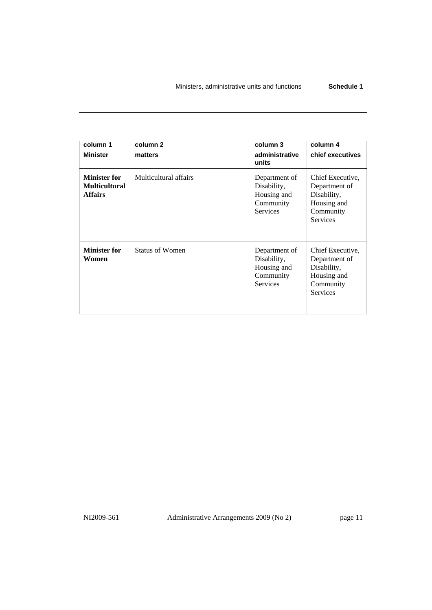| column 1<br><b>Minister</b>                                   | column <sub>2</sub><br>matters | column 3<br>administrative<br>units                                         | column 4<br>chief executives                                                                    |
|---------------------------------------------------------------|--------------------------------|-----------------------------------------------------------------------------|-------------------------------------------------------------------------------------------------|
| <b>Minister for</b><br><b>Multicultural</b><br><b>Affairs</b> | Multicultural affairs          | Department of<br>Disability,<br>Housing and<br>Community<br><b>Services</b> | Chief Executive,<br>Department of<br>Disability,<br>Housing and<br>Community<br><b>Services</b> |
| <b>Minister for</b><br>Women                                  | Status of Women                | Department of<br>Disability,<br>Housing and<br>Community<br><b>Services</b> | Chief Executive,<br>Department of<br>Disability,<br>Housing and<br>Community<br>Services        |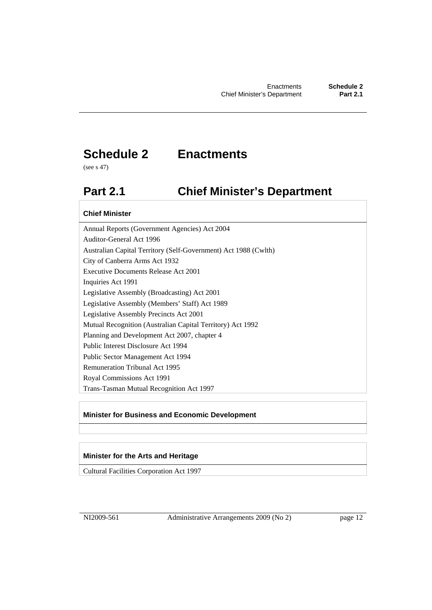### **Schedule 2 Enactments**

(see s 47)

### **Part 2.1 Chief Minister's Department**

#### **Chief Minister**

Annual Reports (Government Agencies) Act 2004 Auditor-General Act 1996 Australian Capital Territory (Self-Government) Act 1988 (Cwlth) City of Canberra Arms Act 1932 Executive Documents Release Act 2001 Inquiries Act 1991 Legislative Assembly (Broadcasting) Act 2001 Legislative Assembly (Members' Staff) Act 1989 Legislative Assembly Precincts Act 2001 Mutual Recognition (Australian Capital Territory) Act 1992 Planning and Development Act 2007, chapter 4 Public Interest Disclosure Act 1994 Public Sector Management Act 1994 Remuneration Tribunal Act 1995 Royal Commissions Act 1991 Trans-Tasman Mutual Recognition Act 1997

#### **Minister for Business and Economic Development**

#### **Minister for the Arts and Heritage**

Cultural Facilities Corporation Act 1997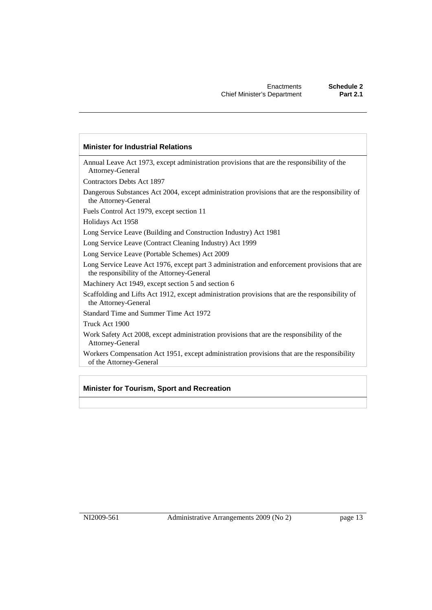#### **Minister for Industrial Relations**

Annual Leave Act 1973, except administration provisions that are the responsibility of the Attorney-General

Contractors Debts Act 1897

Dangerous Substances Act 2004, except administration provisions that are the responsibility of the Attorney-General

Fuels Control Act 1979, except section 11

Holidays Act 1958

Long Service Leave (Building and Construction Industry) Act 1981

Long Service Leave (Contract Cleaning Industry) Act 1999

Long Service Leave (Portable Schemes) Act 2009

Long Service Leave Act 1976, except part 3 administration and enforcement provisions that are the responsibility of the Attorney-General

Machinery Act 1949, except section 5 and section 6

Scaffolding and Lifts Act 1912, except administration provisions that are the responsibility of the Attorney-General

Standard Time and Summer Time Act 1972

Truck Act 1900

Work Safety Act 2008, except administration provisions that are the responsibility of the Attorney-General

Workers Compensation Act 1951, except administration provisions that are the responsibility of the Attorney-General

#### **Minister for Tourism, Sport and Recreation**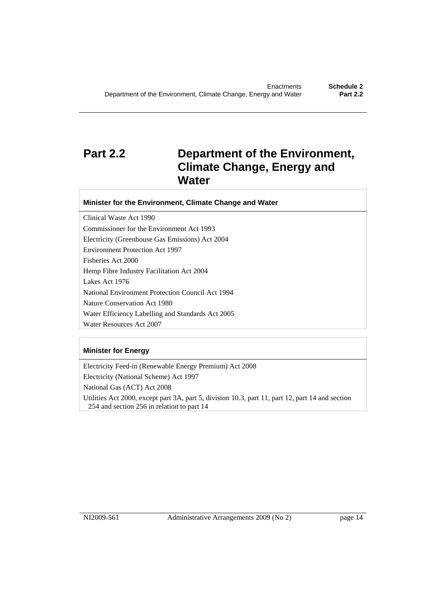### **Part 2.2 Department of the Environment, Climate Change, Energy and Water**

#### **Minister for the Environment, Climate Change and Water**

Clinical Waste Act 1990 Commissioner for the Environment Act 1993 Electricity (Greenhouse Gas Emissions) Act 2004 Environment Protection Act 1997 Fisheries Act 2000 Hemp Fibre Industry Facilitation Act 2004 Lakes Act 1976 National Environment Protection Council Act 1994 Nature Conservation Act 1980 Water Efficiency Labelling and Standards Act 2005 Water Resources Act 2007

#### **Minister for Energy**

Electricity Feed-in (Renewable Energy Premium) Act 2008 Electricity (National Scheme) Act 1997 National Gas (ACT) Act 2008 Utilities Act 2000, except part 3A, part 5, division 10.3, part 11, part 12, part 14 and section 254 and section 256 in relation to part 14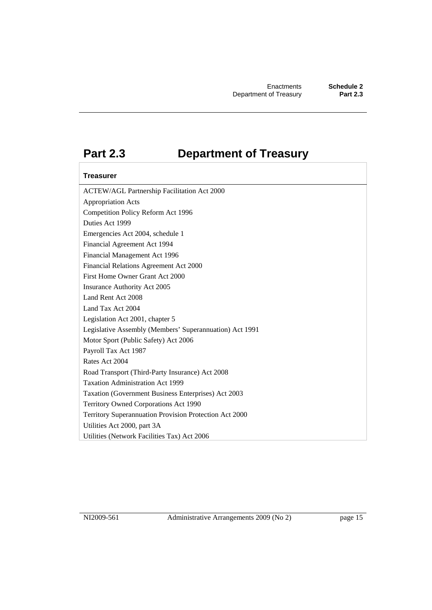### **Part 2.3 Department of Treasury**

#### **Treasurer**

ACTEW/AGL Partnership Facilitation Act 2000 Appropriation Acts Competition Policy Reform Act 1996 Duties Act 1999 Emergencies Act 2004, schedule 1 Financial Agreement Act 1994 Financial Management Act 1996 Financial Relations Agreement Act 2000 First Home Owner Grant Act 2000 Insurance Authority Act 2005 Land Rent Act 2008 Land Tax Act 2004 Legislation Act 2001, chapter 5 Legislative Assembly (Members' Superannuation) Act 1991 Motor Sport (Public Safety) Act 2006 Payroll Tax Act 1987 Rates Act 2004 Road Transport (Third-Party Insurance) Act 2008 Taxation Administration Act 1999 Taxation (Government Business Enterprises) Act 2003 Territory Owned Corporations Act 1990 Territory Superannuation Provision Protection Act 2000 Utilities Act 2000, part 3A Utilities (Network Facilities Tax) Act 2006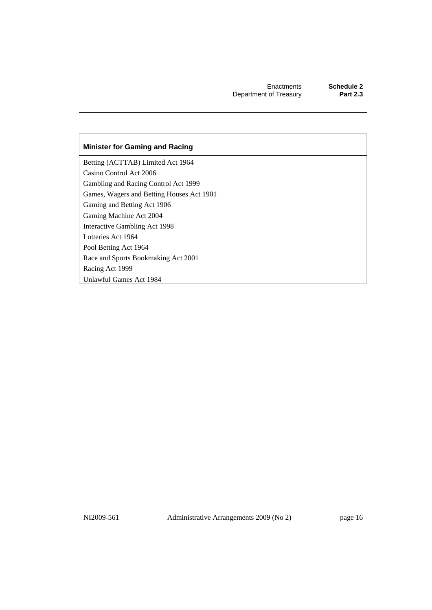#### **Minister for Gaming and Racing**

Betting (ACTTAB) Limited Act 1964 Casino Control Act 2006 Gambling and Racing Control Act 1999 Games, Wagers and Betting Houses Act 1901 Gaming and Betting Act 1906 Gaming Machine Act 2004 Interactive Gambling Act 1998 Lotteries Act 1964 Pool Betting Act 1964 Race and Sports Bookmaking Act 2001 Racing Act 1999 Unlawful Games Act 1984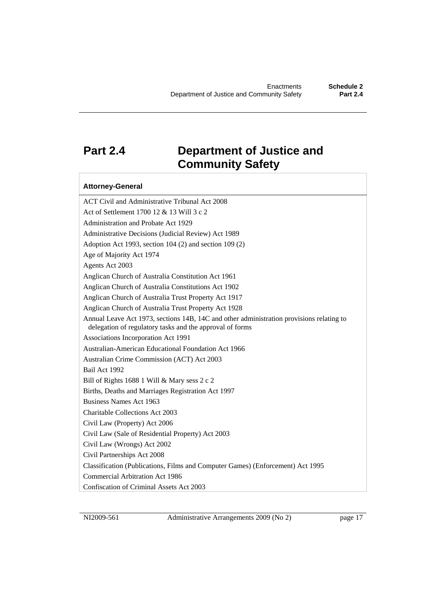### **Part 2.4 Department of Justice and Community Safety**

#### **Attorney-General**

ACT Civil and Administrative Tribunal Act 2008 Act of Settlement 1700 12 & 13 Will 3 c 2 Administration and Probate Act 1929 Administrative Decisions (Judicial Review) Act 1989 Adoption Act 1993, section 104 (2) and section 109 (2) Age of Majority Act 1974 Agents Act 2003 Anglican Church of Australia Constitution Act 1961 Anglican Church of Australia Constitutions Act 1902 Anglican Church of Australia Trust Property Act 1917 Anglican Church of Australia Trust Property Act 1928 Annual Leave Act 1973, sections 14B, 14C and other administration provisions relating to delegation of regulatory tasks and the approval of forms Associations Incorporation Act 1991 Australian-American Educational Foundation Act 1966 Australian Crime Commission (ACT) Act 2003 Bail Act 1992 Bill of Rights 1688 1 Will & Mary sess 2 c 2 Births, Deaths and Marriages Registration Act 1997 Business Names Act 1963 Charitable Collections Act 2003 Civil Law (Property) Act 2006 Civil Law (Sale of Residential Property) Act 2003 Civil Law (Wrongs) Act 2002 Civil Partnerships Act 2008 Classification (Publications, Films and Computer Games) (Enforcement) Act 1995 Commercial Arbitration Act 1986 Confiscation of Criminal Assets Act 2003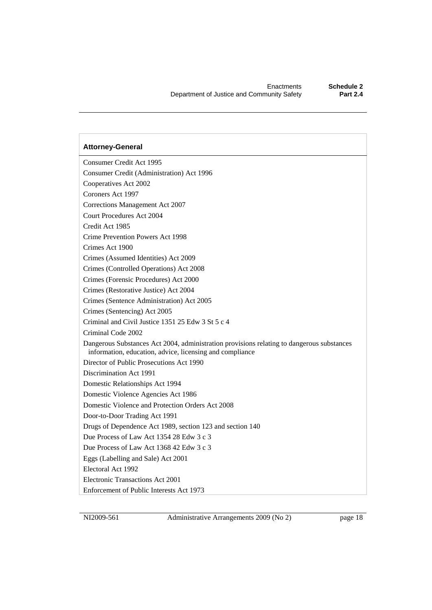Consumer Credit Act 1995 Consumer Credit (Administration) Act 1996 Cooperatives Act 2002 Coroners Act 1997 Corrections Management Act 2007 Court Procedures Act 2004 Credit Act 1985 Crime Prevention Powers Act 1998 Crimes Act 1900 Crimes (Assumed Identities) Act 2009 Crimes (Controlled Operations) Act 2008 Crimes (Forensic Procedures) Act 2000 Crimes (Restorative Justice) Act 2004 Crimes (Sentence Administration) Act 2005 Crimes (Sentencing) Act 2005 Criminal and Civil Justice 1351 25 Edw 3 St 5 c 4 Criminal Code 2002 Dangerous Substances Act 2004, administration provisions relating to dangerous substances information, education, advice, licensing and compliance Director of Public Prosecutions Act 1990 Discrimination Act 1991 Domestic Relationships Act 1994 Domestic Violence Agencies Act 1986 Domestic Violence and Protection Orders Act 2008 Door-to-Door Trading Act 1991 Drugs of Dependence Act 1989, section 123 and section 140 Due Process of Law Act 1354 28 Edw 3 c 3 Due Process of Law Act 1368 42 Edw 3 c 3 Eggs (Labelling and Sale) Act 2001 Electoral Act 1992 Electronic Transactions Act 2001 Enforcement of Public Interests Act 1973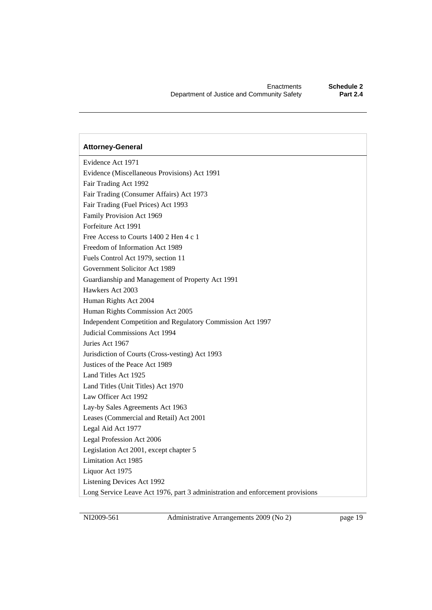Evidence Act 1971 Evidence (Miscellaneous Provisions) Act 1991 Fair Trading Act 1992 Fair Trading (Consumer Affairs) Act 1973 Fair Trading (Fuel Prices) Act 1993 Family Provision Act 1969 Forfeiture Act 1991 Free Access to Courts 1400 2 Hen 4 c 1 Freedom of Information Act 1989 Fuels Control Act 1979, section 11 Government Solicitor Act 1989 Guardianship and Management of Property Act 1991 Hawkers Act 2003 Human Rights Act 2004 Human Rights Commission Act 2005 Independent Competition and Regulatory Commission Act 1997 Judicial Commissions Act 1994 Juries Act 1967 Jurisdiction of Courts (Cross-vesting) Act 1993 Justices of the Peace Act 1989 Land Titles Act 1925 Land Titles (Unit Titles) Act 1970 Law Officer Act 1992 Lay-by Sales Agreements Act 1963 Leases (Commercial and Retail) Act 2001 Legal Aid Act 1977 Legal Profession Act 2006 Legislation Act 2001, except chapter 5 Limitation Act 1985 Liquor Act 1975 Listening Devices Act 1992 Long Service Leave Act 1976, part 3 administration and enforcement provisions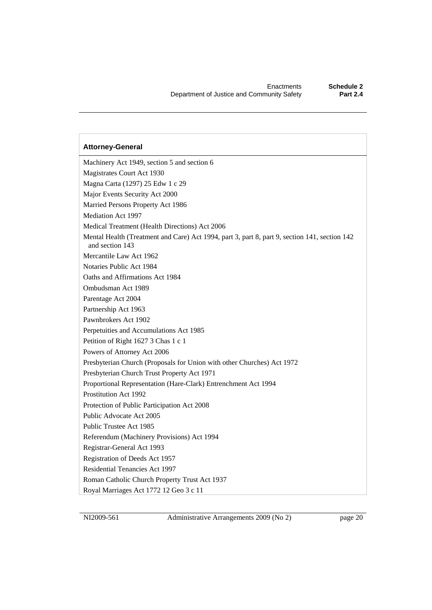### Machinery Act 1949, section 5 and section 6 Magistrates Court Act 1930 Magna Carta (1297) 25 Edw 1 c 29 Major Events Security Act 2000 Married Persons Property Act 1986 Mediation Act 1997 Medical Treatment (Health Directions) Act 2006 Mental Health (Treatment and Care) Act 1994, part 3, part 8, part 9, section 141, section 142 and section 143 Mercantile Law Act 1962 Notaries Public Act 1984 Oaths and Affirmations Act 1984 Ombudsman Act 1989 Parentage Act 2004 Partnership Act 1963 Pawnbrokers Act 1902 Perpetuities and Accumulations Act 1985 Petition of Right 1627 3 Chas 1 c 1 Powers of Attorney Act 2006 Presbyterian Church (Proposals for Union with other Churches) Act 1972 Presbyterian Church Trust Property Act 1971 Proportional Representation (Hare-Clark) Entrenchment Act 1994 Prostitution Act 1992 Protection of Public Participation Act 2008 Public Advocate Act 2005 Public Trustee Act 1985 Referendum (Machinery Provisions) Act 1994 Registrar-General Act 1993 Registration of Deeds Act 1957 Residential Tenancies Act 1997 Roman Catholic Church Property Trust Act 1937 Royal Marriages Act 1772 12 Geo 3 c 11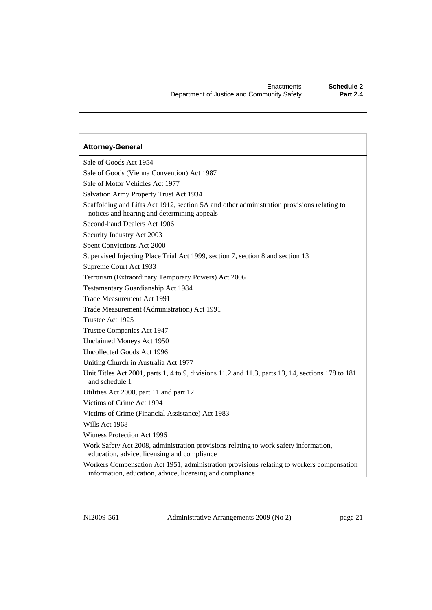Sale of Goods Act 1954 Sale of Goods (Vienna Convention) Act 1987 Sale of Motor Vehicles Act 1977 Salvation Army Property Trust Act 1934 Scaffolding and Lifts Act 1912, section 5A and other administration provisions relating to notices and hearing and determining appeals Second-hand Dealers Act 1906 Security Industry Act 2003 Spent Convictions Act 2000 Supervised Injecting Place Trial Act 1999, section 7, section 8 and section 13 Supreme Court Act 1933 Terrorism (Extraordinary Temporary Powers) Act 2006 Testamentary Guardianship Act 1984 Trade Measurement Act 1991 Trade Measurement (Administration) Act 1991 Trustee Act 1925 Trustee Companies Act 1947 Unclaimed Moneys Act 1950 Uncollected Goods Act 1996 Uniting Church in Australia Act 1977 Unit Titles Act 2001, parts 1, 4 to 9, divisions 11.2 and 11.3, parts 13, 14, sections 178 to 181 and schedule 1 Utilities Act 2000, part 11 and part 12 Victims of Crime Act 1994 Victims of Crime (Financial Assistance) Act 1983 Wills Act 1968 Witness Protection Act 1996 Work Safety Act 2008, administration provisions relating to work safety information, education, advice, licensing and compliance Workers Compensation Act 1951, administration provisions relating to workers compensation information, education, advice, licensing and compliance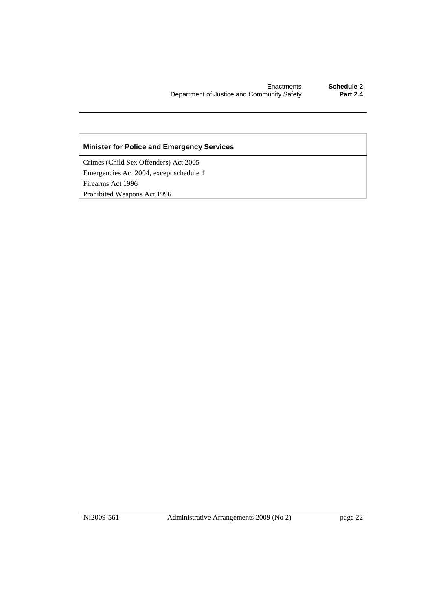#### **Minister for Police and Emergency Services**

Crimes (Child Sex Offenders) Act 2005 Emergencies Act 2004, except schedule 1 Firearms Act 1996 Prohibited Weapons Act 1996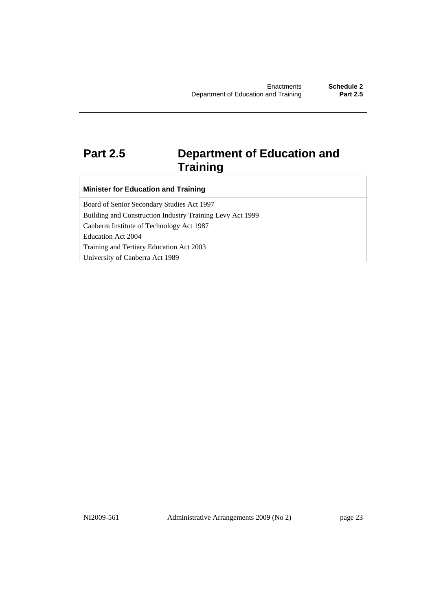### **Part 2.5 Department of Education and Training**

#### **Minister for Education and Training**

Board of Senior Secondary Studies Act 1997 Building and Construction Industry Training Levy Act 1999 Canberra Institute of Technology Act 1987 Education Act 2004 Training and Tertiary Education Act 2003 University of Canberra Act 1989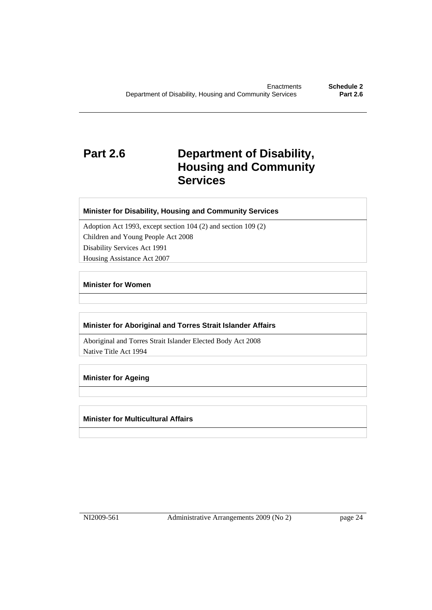### **Part 2.6 Department of Disability, Housing and Community Services**

#### **Minister for Disability, Housing and Community Services**

Adoption Act 1993, except section 104 (2) and section 109 (2) Children and Young People Act 2008 Disability Services Act 1991 Housing Assistance Act 2007

#### **Minister for Women**

#### **Minister for Aboriginal and Torres Strait Islander Affairs**

Aboriginal and Torres Strait Islander Elected Body Act 2008 Native Title Act 1994

#### **Minister for Ageing**

#### **Minister for Multicultural Affairs**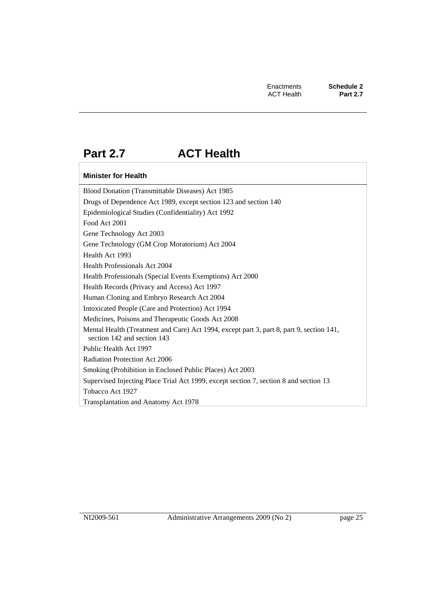### **Part 2.7 ACT Health**

#### **Minister for Health**

Blood Donation (Transmittable Diseases) Act 1985 Drugs of Dependence Act 1989, except section 123 and section 140 Epidemiological Studies (Confidentiality) Act 1992 Food Act 2001 Gene Technology Act 2003 Gene Technology (GM Crop Moratorium) Act 2004 Health Act 1993 Health Professionals Act 2004 Health Professionals (Special Events Exemptions) Act 2000 Health Records (Privacy and Access) Act 1997 Human Cloning and Embryo Research Act 2004 Intoxicated People (Care and Protection) Act 1994 Medicines, Poisons and Therapeutic Goods Act 2008 Mental Health (Treatment and Care) Act 1994, except part 3, part 8, part 9, section 141, section 142 and section 143 Public Health Act 1997 Radiation Protection Act 2006 Smoking (Prohibition in Enclosed Public Places) Act 2003 Supervised Injecting Place Trial Act 1999, except section 7, section 8 and section 13 Tobacco Act 1927 Transplantation and Anatomy Act 1978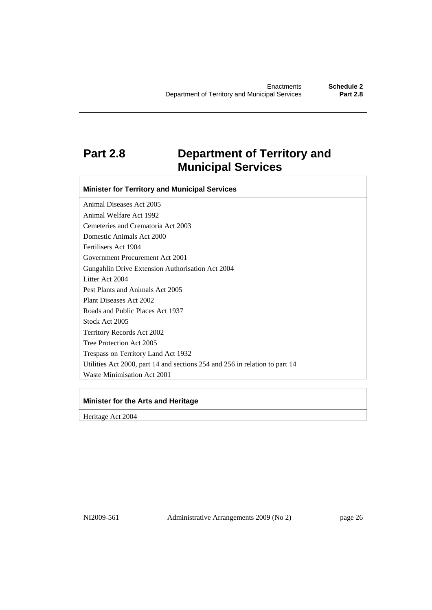### **Part 2.8 Department of Territory and Municipal Services**

**Minister for Territory and Municipal Services** 

Animal Diseases Act 2005 Animal Welfare Act 1992 Cemeteries and Crematoria Act 2003 Domestic Animals Act 2000 Fertilisers Act 1904 Government Procurement Act 2001 Gungahlin Drive Extension Authorisation Act 2004 Litter Act 2004 Pest Plants and Animals Act 2005 Plant Diseases Act 2002 Roads and Public Places Act 1937 Stock Act 2005 Territory Records Act 2002 Tree Protection Act 2005 Trespass on Territory Land Act 1932 Utilities Act 2000, part 14 and sections 254 and 256 in relation to part 14 Waste Minimisation Act 2001

#### **Minister for the Arts and Heritage**

Heritage Act 2004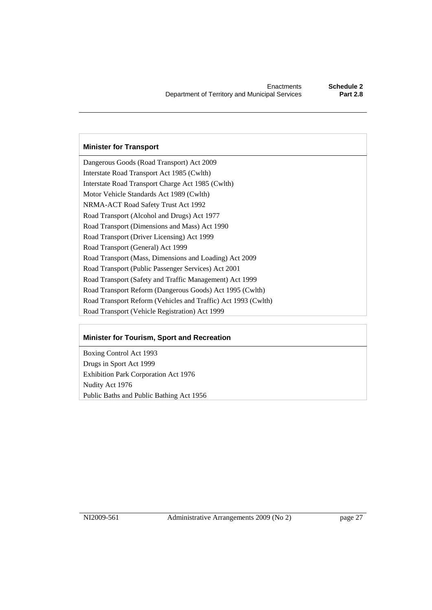#### **Minister for Transport**

Dangerous Goods (Road Transport) Act 2009 Interstate Road Transport Act 1985 (Cwlth) Interstate Road Transport Charge Act 1985 (Cwlth) Motor Vehicle Standards Act 1989 (Cwlth) NRMA-ACT Road Safety Trust Act 1992 Road Transport (Alcohol and Drugs) Act 1977 Road Transport (Dimensions and Mass) Act 1990 Road Transport (Driver Licensing) Act 1999 Road Transport (General) Act 1999 Road Transport (Mass, Dimensions and Loading) Act 2009 Road Transport (Public Passenger Services) Act 2001 Road Transport (Safety and Traffic Management) Act 1999 Road Transport Reform (Dangerous Goods) Act 1995 (Cwlth) Road Transport Reform (Vehicles and Traffic) Act 1993 (Cwlth) Road Transport (Vehicle Registration) Act 1999

#### **Minister for Tourism, Sport and Recreation**

Boxing Control Act 1993 Drugs in Sport Act 1999 Exhibition Park Corporation Act 1976 Nudity Act 1976 Public Baths and Public Bathing Act 1956